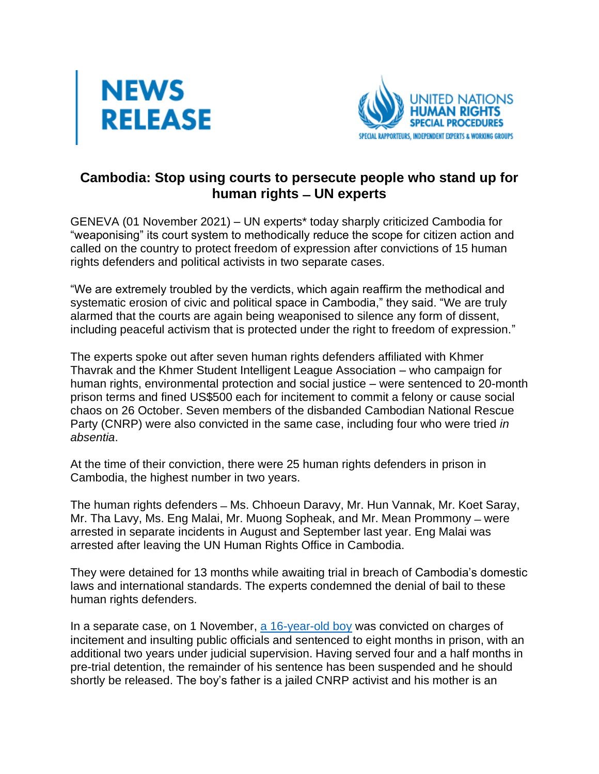



## **Cambodia: Stop using courts to persecute people who stand up for human rights ̶ UN experts**

GENEVA (01 November 2021) – UN experts\* today sharply criticized Cambodia for "weaponising" its court system to methodically reduce the scope for citizen action and called on the country to protect freedom of expression after convictions of 15 human rights defenders and political activists in two separate cases.

"We are extremely troubled by the verdicts, which again reaffirm the methodical and systematic erosion of civic and political space in Cambodia," they said. "We are truly alarmed that the courts are again being weaponised to silence any form of dissent, including peaceful activism that is protected under the right to freedom of expression."

The experts spoke out after seven human rights defenders affiliated with Khmer Thavrak and the Khmer Student Intelligent League Association – who campaign for human rights, environmental protection and social justice – were sentenced to 20-month prison terms and fined US\$500 each for incitement to commit a felony or cause social chaos on 26 October. Seven members of the disbanded Cambodian National Rescue Party (CNRP) were also convicted in the same case, including four who were tried *in absentia*.

At the time of their conviction, there were 25 human rights defenders in prison in Cambodia, the highest number in two years.

The human rights defenders – Ms. Chhoeun Daravy, Mr. Hun Vannak, Mr. Koet Saray, Mr. Tha Lavy, Ms. Eng Malai, Mr. Muong Sopheak, and Mr. Mean Prommony – were arrested in separate incidents in August and September last year. Eng Malai was arrested after leaving the UN Human Rights Office in Cambodia.

They were detained for 13 months while awaiting trial in breach of Cambodia's domestic laws and international standards. The experts condemned the denial of bail to these human rights defenders.

In a separate case, on 1 November, [a 16-year-old boy](https://cambodia.ohchr.org/sites/default/files/20210902Cambodia%20child%20PR_EN_%20Final.pdf) was convicted on charges of incitement and insulting public officials and sentenced to eight months in prison, with an additional two years under judicial supervision. Having served four and a half months in pre-trial detention, the remainder of his sentence has been suspended and he should shortly be released. The boy's father is a jailed CNRP activist and his mother is an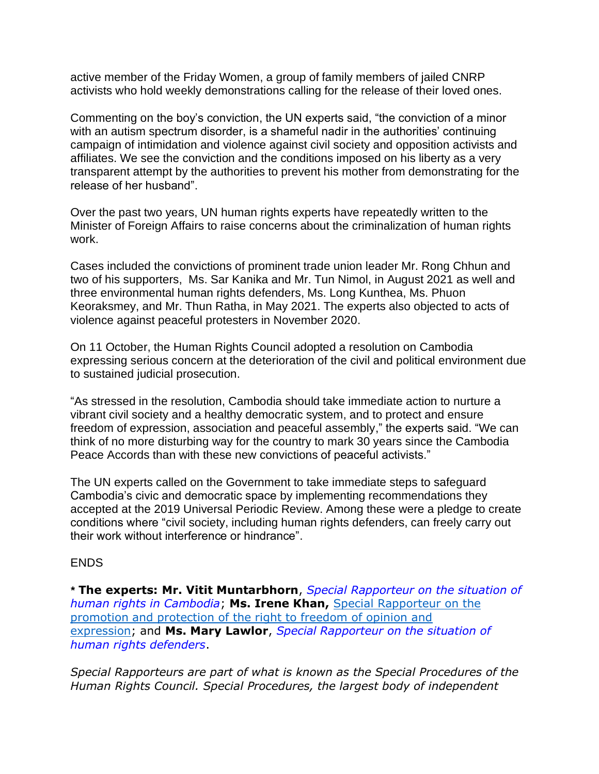active member of the Friday Women, a group of family members of jailed CNRP activists who hold weekly demonstrations calling for the release of their loved ones.

Commenting on the boy's conviction, the UN experts said, "the conviction of a minor with an autism spectrum disorder, is a shameful nadir in the authorities' continuing campaign of intimidation and violence against civil society and opposition activists and affiliates. We see the conviction and the conditions imposed on his liberty as a very transparent attempt by the authorities to prevent his mother from demonstrating for the release of her husband".

Over the past two years, UN human rights experts have repeatedly written to the Minister of Foreign Affairs to raise concerns about the criminalization of human rights work.

Cases included the convictions of prominent trade union leader Mr. Rong Chhun and two of his supporters, Ms. Sar Kanika and Mr. Tun Nimol, in August 2021 as well and three environmental human rights defenders, Ms. Long Kunthea, Ms. Phuon Keoraksmey, and Mr. Thun Ratha, in May 2021. The experts also objected to acts of violence against peaceful protesters in November 2020.

On 11 October, the Human Rights Council adopted a resolution on Cambodia expressing serious concern at the deterioration of the civil and political environment due to sustained judicial prosecution.

"As stressed in the resolution, Cambodia should take immediate action to nurture a vibrant civil society and a healthy democratic system, and to protect and ensure freedom of expression, association and peaceful assembly," the experts said. "We can think of no more disturbing way for the country to mark 30 years since the Cambodia Peace Accords than with these new convictions of peaceful activists."

The UN experts called on the Government to take immediate steps to safeguard Cambodia's civic and democratic space by implementing recommendations they accepted at the 2019 Universal Periodic Review. Among these were a pledge to create conditions where "civil society, including human rights defenders, can freely carry out their work without interference or hindrance".

## ENDS

*\** **The experts: Mr. Vitit Muntarbhorn**, *[Special Rapporteur on the situation of](https://www.ohchr.org/EN/Countries/AsiaRegion/Pages/KHIndex.aspx)  [human rights in Cambodia](https://www.ohchr.org/EN/Countries/AsiaRegion/Pages/KHIndex.aspx)*; **Ms. Irene Khan,** [Special Rapporteur on the](https://www.ohchr.org/EN/Issues/FreedomOpinion/Pages/OpinionIndex.aspx)  [promotion and protection of the right to freedom of opinion and](https://www.ohchr.org/EN/Issues/FreedomOpinion/Pages/OpinionIndex.aspx)  [expression;](https://www.ohchr.org/EN/Issues/FreedomOpinion/Pages/OpinionIndex.aspx) and **Ms. Mary Lawlor**, *[Special Rapporteur on the situation of](https://www.ohchr.org/en/issues/srhrdefenders/pages/srhrdefendersindex.aspx)  [human rights defenders](https://www.ohchr.org/en/issues/srhrdefenders/pages/srhrdefendersindex.aspx)*.

*Special Rapporteurs are part of what is known as the Special Procedures of the Human Rights Council. Special Procedures, the largest body of independent*